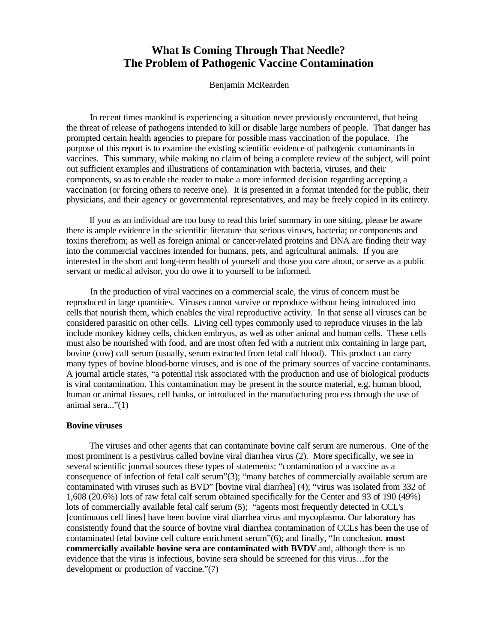# **What Is Coming Through That Needle? The Problem of Pathogenic Vaccine Contamination**

Benjamin McRearden

 In recent times mankind is experiencing a situation never previously encountered, that being the threat of release of pathogens intended to kill or disable large numbers of people. That danger has prompted certain health agencies to prepare for possible mass vaccination of the populace. The purpose of this report is to examine the existing scientific evidence of pathogenic contaminants in vaccines. This summary, while making no claim of being a complete review of the subject, will point out sufficient examples and illustrations of contamination with bacteria, viruses, and their components, so as to enable the reader to make a more informed decision regarding accepting a vaccination (or forcing others to receive one). It is presented in a format intended for the public, their physicians, and their agency or governmental representatives, and may be freely copied in its entirety.

 If you as an individual are too busy to read this brief summary in one sitting, please be aware there is ample evidence in the scientific literature that serious viruses, bacteria; or components and toxins therefrom; as well as foreign animal or cancer-related proteins and DNA are finding their way into the commercial vaccines intended for humans, pets, and agricultural animals. If you are interested in the short and long-term health of yourself and those you care about, or serve as a public servant or medic al advisor, you do owe it to yourself to be informed.

 In the production of viral vaccines on a commercial scale, the virus of concern must be reproduced in large quantities. Viruses cannot survive or reproduce without being introduced into cells that nourish them, which enables the viral reproductive activity. In that sense all viruses can be considered parasitic on other cells. Living cell types commonly used to reproduce viruses in the lab include monkey kidney cells, chicken embryos, as well as other animal and human cells. These cells must also be nourished with food, and are most often fed with a nutrient mix containing in large part, bovine (cow) calf serum (usually, serum extracted from fetal calf blood). This product can carry many types of bovine blood-borne viruses, and is one of the primary sources of vaccine contaminants. A journal article states, "a potential risk associated with the production and use of biological products is viral contamination. This contamination may be present in the source material, e.g. human blood, human or animal tissues, cell banks, or introduced in the manufacturing process through the use of animal sera..."(1)

# **Bovine viruses**

 The viruses and other agents that can contaminate bovine calf serum are numerous. One of the most prominent is a pestivirus called bovine viral diarrhea virus (2). More specifically, we see in several scientific journal sources these types of statements: "contamination of a vaccine as a consequence of infection of fetal calf serum"(3); "many batches of commercially available serum are contaminated with viruses such as BVD" [bovine viral diarrhea] (4); "virus was isolated from 332 of 1,608 (20.6%) lots of raw fetal calf serum obtained specifically for the Center and 93 of 190 (49%) lots of commercially available fetal calf serum (5); "agents most frequently detected in CCL's [continuous cell lines] have been bovine viral diarrhea virus and mycoplasma. Our laboratory has consistently found that the source of bovine viral diarrhea contamination of CCLs has been the use of contaminated fetal bovine cell culture enrichment serum"(6); and finally, "In conclusion, **most commercially available bovine sera are contaminated with BVDV** and, although there is no evidence that the virus is infectious, bovine sera should be screened for this virus…for the development or production of vaccine."(7)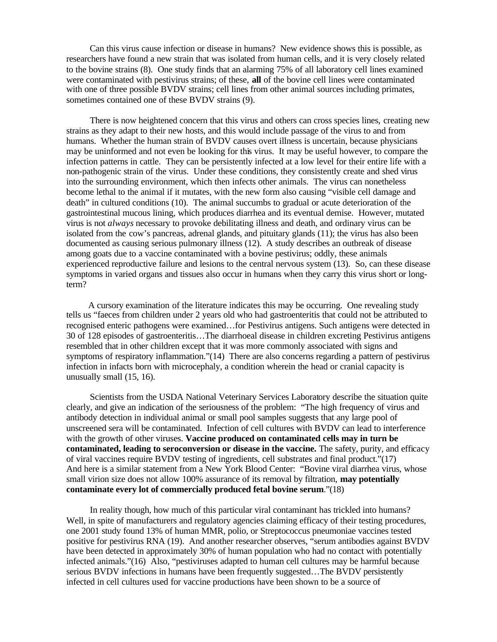Can this virus cause infection or disease in humans? New evidence shows this is possible, as researchers have found a new strain that was isolated from human cells, and it is very closely related to the bovine strains (8). One study finds that an alarming 75% of all laboratory cell lines examined were contaminated with pestivirus strains; of these, **all** of the bovine cell lines were contaminated with one of three possible BVDV strains; cell lines from other animal sources including primates, sometimes contained one of these BVDV strains (9).

 There is now heightened concern that this virus and others can cross species lines, creating new strains as they adapt to their new hosts, and this would include passage of the virus to and from humans. Whether the human strain of BVDV causes overt illness is uncertain, because physicians may be uninformed and not even be looking for this virus. It may be useful however, to compare the infection patterns in cattle. They can be persistently infected at a low level for their entire life with a non-pathogenic strain of the virus. Under these conditions, they consistently create and shed virus into the surrounding environment, which then infects other animals. The virus can nonetheless become lethal to the animal if it mutates, with the new form also causing "visible cell damage and death" in cultured conditions (10). The animal succumbs to gradual or acute deterioration of the gastrointestinal mucous lining, which produces diarrhea and its eventual demise. However, mutated virus is not *always* necessary to provoke debilitating illness and death, and ordinary virus can be isolated from the cow's pancreas, adrenal glands, and pituitary glands (11); the virus has also been documented as causing serious pulmonary illness (12). A study describes an outbreak of disease among goats due to a vaccine contaminated with a bovine pestivirus; oddly, these animals experienced reproductive failure and lesions to the central nervous system (13). So, can these disease symptoms in varied organs and tissues also occur in humans when they carry this virus short or longterm?

 A cursory examination of the literature indicates this may be occurring. One revealing study tells us "faeces from children under 2 years old who had gastroenteritis that could not be attributed to recognised enteric pathogens were examined…for Pestivirus antigens. Such antigens were detected in 30 of 128 episodes of gastroenteritis…The diarrhoeal disease in children excreting Pestivirus antigens resembled that in other children except that it was more commonly associated with signs and symptoms of respiratory inflammation."(14) There are also concerns regarding a pattern of pestivirus infection in infacts born with microcephaly, a condition wherein the head or cranial capacity is unusually small (15, 16).

 Scientists from the USDA National Veterinary Services Laboratory describe the situation quite clearly, and give an indication of the seriousness of the problem: "The high frequency of virus and antibody detection in individual animal or small pool samples suggests that any large pool of unscreened sera will be contaminated. Infection of cell cultures with BVDV can lead to interference with the growth of other viruses. **Vaccine produced on contaminated cells may in turn be contaminated, leading to seroconversion or disease in the vaccine.** The safety, purity, and efficacy of viral vaccines require BVDV testing of ingredients, cell substrates and final product."(17) And here is a similar statement from a New York Blood Center: "Bovine viral diarrhea virus, whose small virion size does not allow 100% assurance of its removal by filtration, **may potentially contaminate every lot of commercially produced fetal bovine serum**."(18)

 In reality though, how much of this particular viral contaminant has trickled into humans? Well, in spite of manufacturers and regulatory agencies claiming efficacy of their testing procedures, one 2001 study found 13% of human MMR, polio, or Streptococcus pneumoniae vaccines tested positive for pestivirus RNA (19). And another researcher observes, "serum antibodies against BVDV have been detected in approximately 30% of human population who had no contact with potentially infected animals."(16) Also, "pestiviruses adapted to human cell cultures may be harmful because serious BVDV infections in humans have been frequently suggested…The BVDV persistently infected in cell cultures used for vaccine productions have been shown to be a source of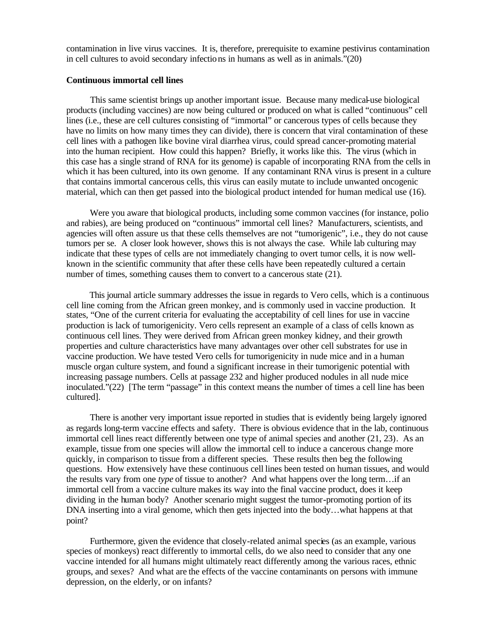contamination in live virus vaccines. It is, therefore, prerequisite to examine pestivirus contamination in cell cultures to avoid secondary infections in humans as well as in animals."(20)

# **Continuous immortal cell lines**

 This same scientist brings up another important issue. Because many medical-use biological products (including vaccines) are now being cultured or produced on what is called "continuous" cell lines (i.e., these are cell cultures consisting of "immortal" or cancerous types of cells because they have no limits on how many times they can divide), there is concern that viral contamination of these cell lines with a pathogen like bovine viral diarrhea virus, could spread cancer-promoting material into the human recipient. How could this happen? Briefly, it works like this. The virus (which in this case has a single strand of RNA for its genome) is capable of incorporating RNA from the cells in which it has been cultured, into its own genome. If any contaminant RNA virus is present in a culture that contains immortal cancerous cells, this virus can easily mutate to include unwanted oncogenic material, which can then get passed into the biological product intended for human medical use (16).

 Were you aware that biological products, including some common vaccines (for instance, polio and rabies), are being produced on "continuous" immortal cell lines? Manufacturers, scientists, and agencies will often assure us that these cells themselves are not "tumorigenic", i.e., they do not cause tumors per se. A closer look however, shows this is not always the case. While lab culturing may indicate that these types of cells are not immediately changing to overt tumor cells, it is now wellknown in the scientific community that after these cells have been repeatedly cultured a certain number of times, something causes them to convert to a cancerous state (21).

 This journal article summary addresses the issue in regards to Vero cells, which is a continuous cell line coming from the African green monkey, and is commonly used in vaccine production. It states, "One of the current criteria for evaluating the acceptability of cell lines for use in vaccine production is lack of tumorigenicity. Vero cells represent an example of a class of cells known as continuous cell lines. They were derived from African green monkey kidney, and their growth properties and culture characteristics have many advantages over other cell substrates for use in vaccine production. We have tested Vero cells for tumorigenicity in nude mice and in a human muscle organ culture system, and found a significant increase in their tumorigenic potential with increasing passage numbers. Cells at passage 232 and higher produced nodules in all nude mice inoculated."(22) [The term "passage" in this context means the number of times a cell line has been cultured].

 There is another very important issue reported in studies that is evidently being largely ignored as regards long-term vaccine effects and safety. There is obvious evidence that in the lab, continuous immortal cell lines react differently between one type of animal species and another (21, 23). As an example, tissue from one species will allow the immortal cell to induce a cancerous change more quickly, in comparison to tissue from a different species. These results then beg the following questions. How extensively have these continuous cell lines been tested on human tissues, and would the results vary from one *type* of tissue to another? And what happens over the long term…if an immortal cell from a vaccine culture makes its way into the final vaccine product, does it keep dividing in the human body? Another scenario might suggest the tumor-promoting portion of its DNA inserting into a viral genome, which then gets injected into the body…what happens at that point?

 Furthermore, given the evidence that closely-related animal species (as an example, various species of monkeys) react differently to immortal cells, do we also need to consider that any one vaccine intended for all humans might ultimately react differently among the various races, ethnic groups, and sexes? And what are the effects of the vaccine contaminants on persons with immune depression, on the elderly, or on infants?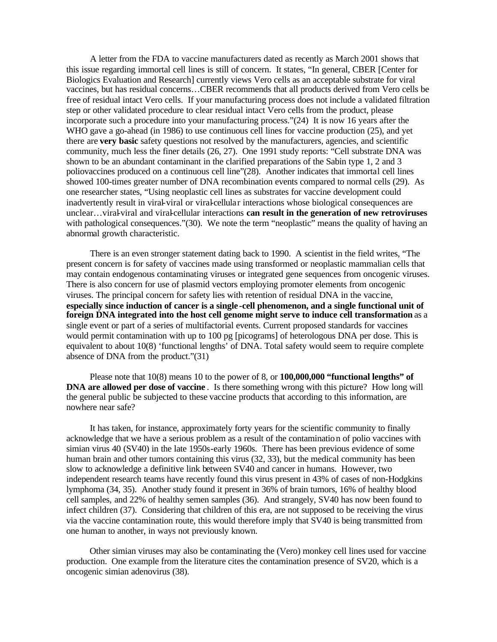A letter from the FDA to vaccine manufacturers dated as recently as March 2001 shows that this issue regarding immortal cell lines is still of concern. It states, "In general, CBER [Center for Biologics Evaluation and Research] currently views Vero cells as an acceptable substrate for viral vaccines, but has residual concerns…CBER recommends that all products derived from Vero cells be free of residual intact Vero cells. If your manufacturing process does not include a validated filtration step or other validated procedure to clear residual intact Vero cells from the product, please incorporate such a procedure into your manufacturing process."(24) It is now 16 years after the WHO gave a go-ahead (in 1986) to use continuous cell lines for vaccine production (25), and yet there are **very basic** safety questions not resolved by the manufacturers, agencies, and scientific community, much less the finer details (26, 27). One 1991 study reports: "Cell substrate DNA was shown to be an abundant contaminant in the clarified preparations of the Sabin type 1, 2 and 3 poliovaccines produced on a continuous cell line"(28). Another indicates that immortal cell lines showed 100-times greater number of DNA recombination events compared to normal cells (29). As one researcher states, "Using neoplastic cell lines as substrates for vaccine development could inadvertently result in viral-viral or viral-cellular interactions whose biological consequences are unclear…viral-viral and viral-cellular interactions **can result in the generation of new retroviruses** with pathological consequences."(30). We note the term "neoplastic" means the quality of having an abnormal growth characteristic.

 There is an even stronger statement dating back to 1990. A scientist in the field writes, "The present concern is for safety of vaccines made using transformed or neoplastic mammalian cells that may contain endogenous contaminating viruses or integrated gene sequences from oncogenic viruses. There is also concern for use of plasmid vectors employing promoter elements from oncogenic viruses. The principal concern for safety lies with retention of residual DNA in the vaccine, **especially since induction of cancer is a single -cell phenomenon, and a single functional unit of foreign DNA integrated into the host cell genome might serve to induce cell transformation** as a single event or part of a series of multifactorial events. Current proposed standards for vaccines would permit contamination with up to 100 pg [picograms] of heterologous DNA per dose. This is equivalent to about 10(8) 'functional lengths' of DNA. Total safety would seem to require complete absence of DNA from the product."(31)

 Please note that 10(8) means 10 to the power of 8, or **100,000,000 "functional lengths" of DNA are allowed per dose of vaccine** . Is there something wrong with this picture? How long will the general public be subjected to these vaccine products that according to this information, are nowhere near safe?

 It has taken, for instance, approximately forty years for the scientific community to finally acknowledge that we have a serious problem as a result of the contamination of polio vaccines with simian virus 40 (SV40) in the late 1950s-early 1960s. There has been previous evidence of some human brain and other tumors containing this virus (32, 33), but the medical community has been slow to acknowledge a definitive link between SV40 and cancer in humans. However, two independent research teams have recently found this virus present in 43% of cases of non-Hodgkins lymphoma (34, 35). Another study found it present in 36% of brain tumors, 16% of healthy blood cell samples, and 22% of healthy semen samples (36). And strangely, SV40 has now been found to infect children (37). Considering that children of this era, are not supposed to be receiving the virus via the vaccine contamination route, this would therefore imply that SV40 is being transmitted from one human to another, in ways not previously known.

 Other simian viruses may also be contaminating the (Vero) monkey cell lines used for vaccine production. One example from the literature cites the contamination presence of SV20, which is a oncogenic simian adenovirus (38).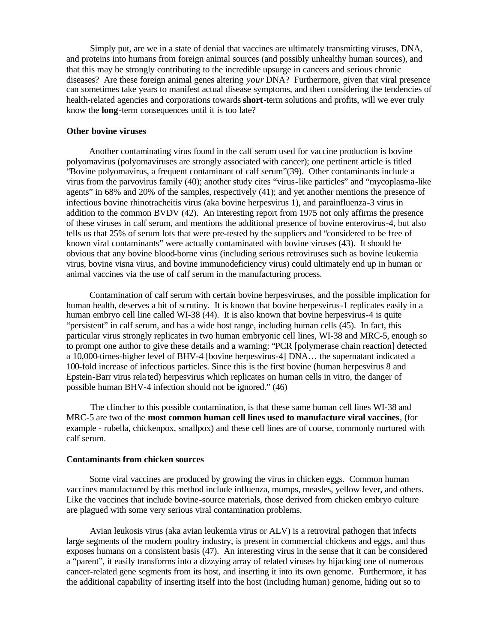Simply put, are we in a state of denial that vaccines are ultimately transmitting viruses, DNA, and proteins into humans from foreign animal sources (and possibly unhealthy human sources), and that this may be strongly contributing to the incredible upsurge in cancers and serious chronic diseases? Are these foreign animal genes altering *your* DNA? Furthermore, given that viral presence can sometimes take years to manifest actual disease symptoms, and then considering the tendencies of health-related agencies and corporations towards **short**-term solutions and profits, will we ever truly know the **long**-term consequences until it is too late?

## **Other bovine viruses**

 Another contaminating virus found in the calf serum used for vaccine production is bovine polyomavirus (polyomaviruses are strongly associated with cancer); one pertinent article is titled "Bovine polyomavirus, a frequent contaminant of calf serum"(39). Other contaminants include a virus from the parvovirus family (40); another study cites "virus-like particles" and "mycoplasma-like agents" in 68% and 20% of the samples, respectively (41); and yet another mentions the presence of infectious bovine rhinotracheitis virus (aka bovine herpesvirus 1), and parainfluenza-3 virus in addition to the common BVDV (42). An interesting report from 1975 not only affirms the presence of these viruses in calf serum, and mentions the additional presence of bovine enterovirus-4, but also tells us that 25% of serum lots that were pre-tested by the suppliers and "considered to be free of known viral contaminants" were actually contaminated with bovine viruses (43). It should be obvious that any bovine blood-borne virus (including serious retroviruses such as bovine leukemia virus, bovine visna virus, and bovine immunodeficiency virus) could ultimately end up in human or animal vaccines via the use of calf serum in the manufacturing process.

 Contamination of calf serum with certain bovine herpesviruses, and the possible implication for human health, deserves a bit of scrutiny. It is known that bovine herpesvirus-1 replicates easily in a human embryo cell line called WI-38 (44). It is also known that bovine herpesvirus-4 is quite "persistent" in calf serum, and has a wide host range, including human cells (45). In fact, this particular virus strongly replicates in two human embryonic cell lines, WI-38 and MRC-5, enough so to prompt one author to give these details and a warning: "PCR [polymerase chain reaction] detected a 10,000-times-higher level of BHV-4 [bovine herpesvirus-4] DNA… the supernatant indicated a 100-fold increase of infectious particles. Since this is the first bovine (human herpesvirus 8 and Epstein-Barr virus rela ted) herpesvirus which replicates on human cells in vitro, the danger of possible human BHV-4 infection should not be ignored." (46)

 The clincher to this possible contamination, is that these same human cell lines WI-38 and MRC-5 are two of the **most common human cell lines used to manufacture viral vaccines**, (for example - rubella, chickenpox, smallpox) and these cell lines are of course, commonly nurtured with calf serum.

#### **Contaminants from chicken sources**

Some viral vaccines are produced by growing the virus in chicken eggs. Common human vaccines manufactured by this method include influenza, mumps, measles, yellow fever, and others. Like the vaccines that include bovine-source materials, those derived from chicken embryo culture are plagued with some very serious viral contamination problems.

 Avian leukosis virus (aka avian leukemia virus or ALV) is a retroviral pathogen that infects large segments of the modern poultry industry, is present in commercial chickens and eggs, and thus exposes humans on a consistent basis (47). An interesting virus in the sense that it can be considered a "parent", it easily transforms into a dizzying array of related viruses by hijacking one of numerous cancer-related gene segments from its host, and inserting it into its own genome. Furthermore, it has the additional capability of inserting itself into the host (including human) genome, hiding out so to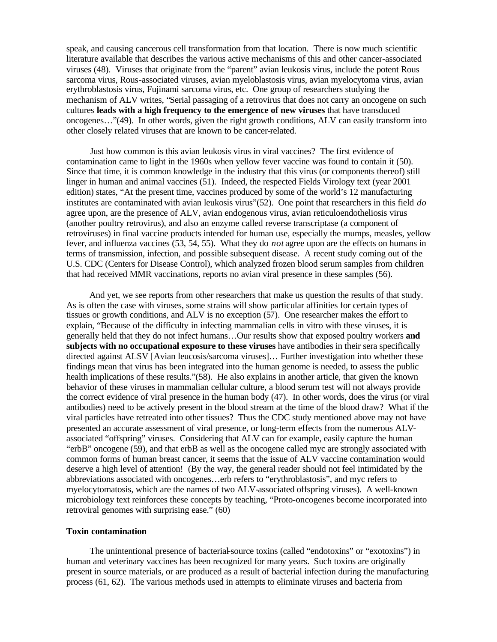speak, and causing cancerous cell transformation from that location. There is now much scientific literature available that describes the various active mechanisms of this and other cancer-associated viruses (48). Viruses that originate from the "parent" avian leukosis virus, include the potent Rous sarcoma virus, Rous-associated viruses, avian myeloblastosis virus, avian myelocytoma virus, avian erythroblastosis virus, Fujinami sarcoma virus, etc. One group of researchers studying the mechanism of ALV writes, "Serial passaging of a retrovirus that does not carry an oncogene on such cultures **leads with a high frequency to the emergence of new viruses** that have transduced oncogenes…"(49). In other words, given the right growth conditions, ALV can easily transform into other closely related viruses that are known to be cancer-related.

 Just how common is this avian leukosis virus in viral vaccines? The first evidence of contamination came to light in the 1960s when yellow fever vaccine was found to contain it (50). Since that time, it is common knowledge in the industry that this virus (or components thereof) still linger in human and animal vaccines (51). Indeed, the respected Fields Virology text (year 2001 edition) states, "At the present time, vaccines produced by some of the world's 12 manufacturing institutes are contaminated with avian leukosis virus"(52). One point that researchers in this field *do* agree upon, are the presence of ALV, avian endogenous virus, avian reticuloendotheliosis virus (another poultry retrovirus), and also an enzyme called reverse transcriptase (a component of retroviruses) in final vaccine products intended for human use, especially the mumps, measles, yellow fever, and influenza vaccines (53, 54, 55). What they do *not* agree upon are the effects on humans in terms of transmission, infection, and possible subsequent disease. A recent study coming out of the U.S. CDC (Centers for Disease Control), which analyzed frozen blood serum samples from children that had received MMR vaccinations, reports no avian viral presence in these samples (56).

 And yet, we see reports from other researchers that make us question the results of that study. As is often the case with viruses, some strains will show particular affinities for certain types of tissues or growth conditions, and ALV is no exception (57). One researcher makes the effort to explain, "Because of the difficulty in infecting mammalian cells in vitro with these viruses, it is generally held that they do not infect humans…Our results show that exposed poultry workers **and subjects with no occupational exposure to these viruses** have antibodies in their sera specifically directed against ALSV [Avian leucosis/sarcoma viruses]… Further investigation into whether these findings mean that virus has been integrated into the human genome is needed, to assess the public health implications of these results."(58). He also explains in another article, that given the known behavior of these viruses in mammalian cellular culture, a blood serum test will not always provide the correct evidence of viral presence in the human body (47). In other words, does the virus (or viral antibodies) need to be actively present in the blood stream at the time of the blood draw? What if the viral particles have retreated into other tissues? Thus the CDC study mentioned above may not have presented an accurate assessment of viral presence, or long-term effects from the numerous ALVassociated "offspring" viruses. Considering that ALV can for example, easily capture the human "erbB" oncogene (59), and that erbB as well as the oncogene called myc are strongly associated with common forms of human breast cancer, it seems that the issue of ALV vaccine contamination would deserve a high level of attention! (By the way, the general reader should not feel intimidated by the abbreviations associated with oncogenes…erb refers to "erythroblastosis", and myc refers to myelocytomatosis, which are the names of two ALV-associated offspring viruses). A well-known microbiology text reinforces these concepts by teaching, "Proto-oncogenes become incorporated into retroviral genomes with surprising ease." (60)

# **Toxin contamination**

 The unintentional presence of bacterial-source toxins (called "endotoxins" or "exotoxins") in human and veterinary vaccines has been recognized for many years. Such toxins are originally present in source materials, or are produced as a result of bacterial infection during the manufacturing process (61, 62). The various methods used in attempts to eliminate viruses and bacteria from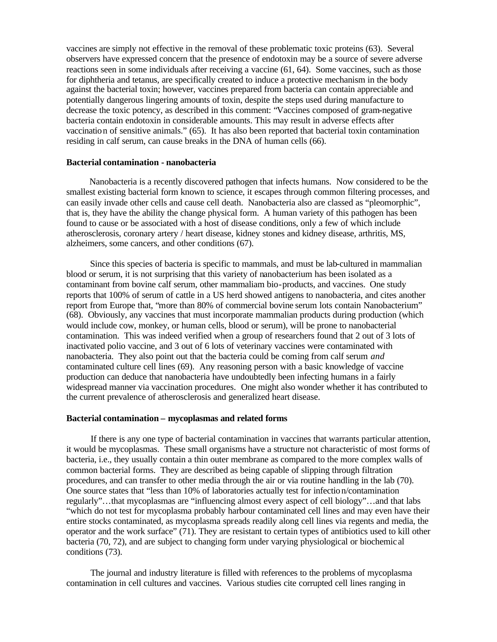vaccines are simply not effective in the removal of these problematic toxic proteins (63). Several observers have expressed concern that the presence of endotoxin may be a source of severe adverse reactions seen in some individuals after receiving a vaccine (61, 64). Some vaccines, such as those for diphtheria and tetanus, are specifically created to induce a protective mechanism in the body against the bacterial toxin; however, vaccines prepared from bacteria can contain appreciable and potentially dangerous lingering amounts of toxin, despite the steps used during manufacture to decrease the toxic potency, as described in this comment: "Vaccines composed of gram-negative bacteria contain endotoxin in considerable amounts. This may result in adverse effects after vaccination of sensitive animals." (65). It has also been reported that bacterial toxin contamination residing in calf serum, can cause breaks in the DNA of human cells (66).

#### **Bacterial contamination - nanobacteria**

 Nanobacteria is a recently discovered pathogen that infects humans. Now considered to be the smallest existing bacterial form known to science, it escapes through common filtering processes, and can easily invade other cells and cause cell death. Nanobacteria also are classed as "pleomorphic", that is, they have the ability the change physical form. A human variety of this pathogen has been found to cause or be associated with a host of disease conditions, only a few of which include atherosclerosis, coronary artery / heart disease, kidney stones and kidney disease, arthritis, MS, alzheimers, some cancers, and other conditions (67).

 Since this species of bacteria is specific to mammals, and must be lab-cultured in mammalian blood or serum, it is not surprising that this variety of nanobacterium has been isolated as a contaminant from bovine calf serum, other mammaliam bio-products, and vaccines. One study reports that 100% of serum of cattle in a US herd showed antigens to nanobacteria, and cites another report from Europe that, "more than 80% of commercial bovine serum lots contain Nanobacterium" (68). Obviously, any vaccines that must incorporate mammalian products during production (which would include cow, monkey, or human cells, blood or serum), will be prone to nanobacterial contamination. This was indeed verified when a group of researchers found that 2 out of 3 lots of inactivated polio vaccine, and 3 out of 6 lots of veterinary vaccines were contaminated with nanobacteria. They also point out that the bacteria could be coming from calf serum *and* contaminated culture cell lines (69). Any reasoning person with a basic knowledge of vaccine production can deduce that nanobacteria have undoubtedly been infecting humans in a fairly widespread manner via vaccination procedures. One might also wonder whether it has contributed to the current prevalence of atherosclerosis and generalized heart disease.

#### **Bacterial contamination – mycoplasmas and related forms**

 If there is any one type of bacterial contamination in vaccines that warrants particular attention, it would be mycoplasmas. These small organisms have a structure not characteristic of most forms of bacteria, i.e., they usually contain a thin outer membrane as compared to the more complex walls of common bacterial forms. They are described as being capable of slipping through filtration procedures, and can transfer to other media through the air or via routine handling in the lab (70). One source states that "less than 10% of laboratories actually test for infection/contamination regularly"…that mycoplasmas are "influencing almost every aspect of cell biology"…and that labs "which do not test for mycoplasma probably harbour contaminated cell lines and may even have their entire stocks contaminated, as mycoplasma spreads readily along cell lines via regents and media, the operator and the work surface" (71). They are resistant to certain types of antibiotics used to kill other bacteria (70, 72), and are subject to changing form under varying physiological or biochemic al conditions (73).

 The journal and industry literature is filled with references to the problems of mycoplasma contamination in cell cultures and vaccines. Various studies cite corrupted cell lines ranging in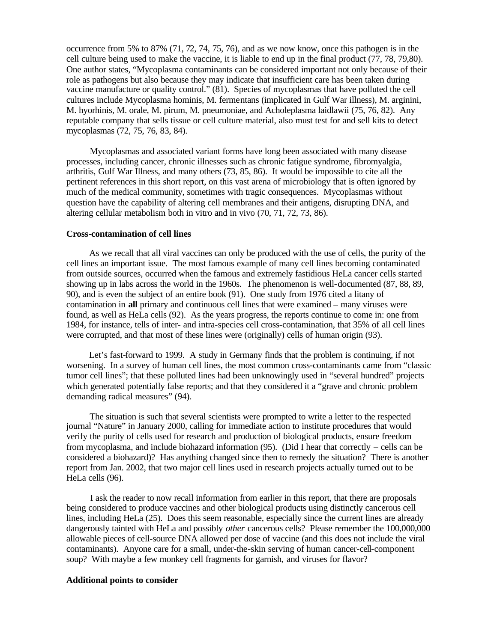occurrence from 5% to 87% (71, 72, 74, 75, 76), and as we now know, once this pathogen is in the cell culture being used to make the vaccine, it is liable to end up in the final product (77, 78, 79,80). One author states, "Mycoplasma contaminants can be considered important not only because of their role as pathogens but also because they may indicate that insufficient care has been taken during vaccine manufacture or quality control." (81). Species of mycoplasmas that have polluted the cell cultures include Mycoplasma hominis, M. fermentans (implicated in Gulf War illness), M. arginini, M. hyorhinis, M. orale, M. pirum, M. pneumoniae, and Acholeplasma laidlawii (75, 76, 82). Any reputable company that sells tissue or cell culture material, also must test for and sell kits to detect mycoplasmas (72, 75, 76, 83, 84).

 Mycoplasmas and associated variant forms have long been associated with many disease processes, including cancer, chronic illnesses such as chronic fatigue syndrome, fibromyalgia, arthritis, Gulf War Illness, and many others (73, 85, 86). It would be impossible to cite all the pertinent references in this short report, on this vast arena of microbiology that is often ignored by much of the medical community, sometimes with tragic consequences. Mycoplasmas without question have the capability of altering cell membranes and their antigens, disrupting DNA, and altering cellular metabolism both in vitro and in vivo (70, 71, 72, 73, 86).

#### **Cross-contamination of cell lines**

 As we recall that all viral vaccines can only be produced with the use of cells, the purity of the cell lines an important issue. The most famous example of many cell lines becoming contaminated from outside sources, occurred when the famous and extremely fastidious HeLa cancer cells started showing up in labs across the world in the 1960s. The phenomenon is well-documented (87, 88, 89, 90), and is even the subject of an entire book (91). One study from 1976 cited a litany of contamination in **all** primary and continuous cell lines that were examined – many viruses were found, as well as HeLa cells (92). As the years progress, the reports continue to come in: one from 1984, for instance, tells of inter- and intra-species cell cross-contamination, that 35% of all cell lines were corrupted, and that most of these lines were (originally) cells of human origin (93).

 Let's fast-forward to 1999. A study in Germany finds that the problem is continuing, if not worsening. In a survey of human cell lines, the most common cross-contaminants came from "classic tumor cell lines"; that these polluted lines had been unknowingly used in "several hundred" projects which generated potentially false reports; and that they considered it a "grave and chronic problem demanding radical measures" (94).

 The situation is such that several scientists were prompted to write a letter to the respected journal "Nature" in January 2000, calling for immediate action to institute procedures that would verify the purity of cells used for research and production of biological products, ensure freedom from mycoplasma, and include biohazard information (95). (Did I hear that correctly – cells can be considered a biohazard)? Has anything changed since then to remedy the situation? There is another report from Jan. 2002, that two major cell lines used in research projects actually turned out to be HeLa cells (96).

 I ask the reader to now recall information from earlier in this report, that there are proposals being considered to produce vaccines and other biological products using distinctly cancerous cell lines, including HeLa (25). Does this seem reasonable, especially since the current lines are already dangerously tainted with HeLa and possibly *other* cancerous cells? Please remember the 100,000,000 allowable pieces of cell-source DNA allowed per dose of vaccine (and this does not include the viral contaminants). Anyone care for a small, under-the-skin serving of human cancer-cell-component soup? With maybe a few monkey cell fragments for garnish, and viruses for flavor?

## **Additional points to consider**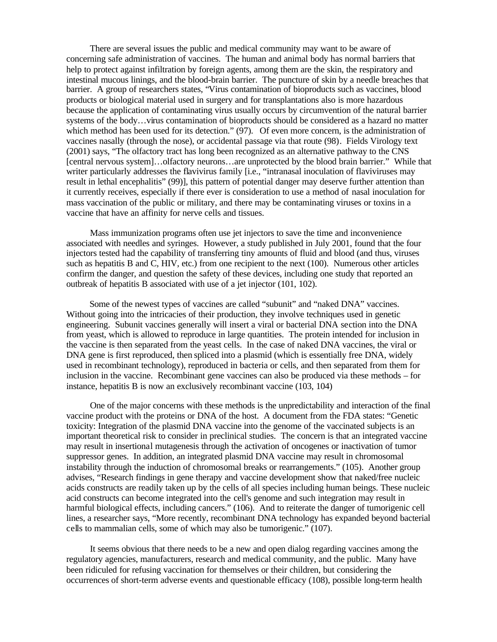There are several issues the public and medical community may want to be aware of concerning safe administration of vaccines. The human and animal body has normal barriers that help to protect against infiltration by foreign agents, among them are the skin, the respiratory and intestinal mucous linings, and the blood-brain barrier. The puncture of skin by a needle breaches that barrier. A group of researchers states, "Virus contamination of bioproducts such as vaccines, blood products or biological material used in surgery and for transplantations also is more hazardous because the application of contaminating virus usually occurs by circumvention of the natural barrier systems of the body…virus contamination of bioproducts should be considered as a hazard no matter which method has been used for its detection." (97). Of even more concern, is the administration of vaccines nasally (through the nose), or accidental passage via that route (98). Fields Virology text (2001) says, "The olfactory tract has long been recognized as an alternative pathway to the CNS [central nervous system]...olfactory neurons...are unprotected by the blood brain barrier." While that writer particularly addresses the flavivirus family [i.e., "intranasal inoculation of flaviviruses may result in lethal encephalitis" (99)], this pattern of potential danger may deserve further attention than it currently receives, especially if there ever is consideration to use a method of nasal inoculation for mass vaccination of the public or military, and there may be contaminating viruses or toxins in a vaccine that have an affinity for nerve cells and tissues.

 Mass immunization programs often use jet injectors to save the time and inconvenience associated with needles and syringes. However, a study published in July 2001, found that the four injectors tested had the capability of transferring tiny amounts of fluid and blood (and thus, viruses such as hepatitis B and C, HIV, etc.) from one recipient to the next (100). Numerous other articles confirm the danger, and question the safety of these devices, including one study that reported an outbreak of hepatitis B associated with use of a jet injector (101, 102).

 Some of the newest types of vaccines are called "subunit" and "naked DNA" vaccines. Without going into the intricacies of their production, they involve techniques used in genetic engineering. Subunit vaccines generally will insert a viral or bacterial DNA section into the DNA from yeast, which is allowed to reproduce in large quantities. The protein intended for inclusion in the vaccine is then separated from the yeast cells. In the case of naked DNA vaccines, the viral or DNA gene is first reproduced, then spliced into a plasmid (which is essentially free DNA, widely used in recombinant technology), reproduced in bacteria or cells, and then separated from them for inclusion in the vaccine. Recombinant gene vaccines can also be produced via these methods – for instance, hepatitis B is now an exclusively recombinant vaccine (103, 104)

 One of the major concerns with these methods is the unpredictability and interaction of the final vaccine product with the proteins or DNA of the host. A document from the FDA states: "Genetic toxicity: Integration of the plasmid DNA vaccine into the genome of the vaccinated subjects is an important theoretical risk to consider in preclinical studies. The concern is that an integrated vaccine may result in insertional mutagenesis through the activation of oncogenes or inactivation of tumor suppressor genes. In addition, an integrated plasmid DNA vaccine may result in chromosomal instability through the induction of chromosomal breaks or rearrangements." (105). Another group advises, "Research findings in gene therapy and vaccine development show that naked/free nucleic acids constructs are readily taken up by the cells of all species including human beings. These nucleic acid constructs can become integrated into the cell's genome and such integration may result in harmful biological effects, including cancers." (106). And to reiterate the danger of tumorigenic cell lines, a researcher says, "More recently, recombinant DNA technology has expanded beyond bacterial cells to mammalian cells, some of which may also be tumorigenic." (107).

 It seems obvious that there needs to be a new and open dialog regarding vaccines among the regulatory agencies, manufacturers, research and medical community, and the public. Many have been ridiculed for refusing vaccination for themselves or their children, but considering the occurrences of short-term adverse events and questionable efficacy (108), possible long-term health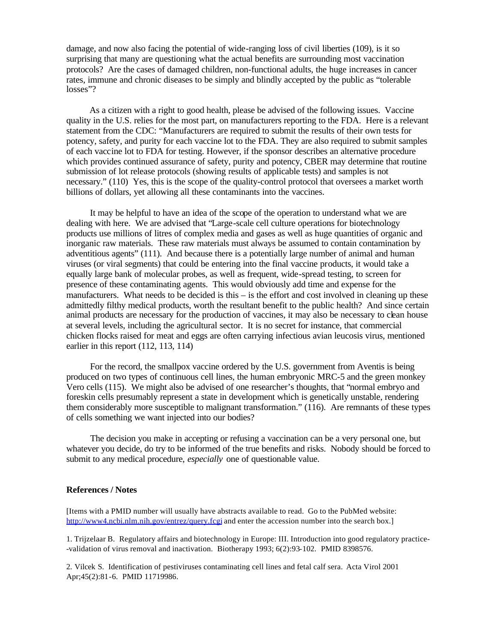damage, and now also facing the potential of wide-ranging loss of civil liberties (109), is it so surprising that many are questioning what the actual benefits are surrounding most vaccination protocols? Are the cases of damaged children, non-functional adults, the huge increases in cancer rates, immune and chronic diseases to be simply and blindly accepted by the public as "tolerable losses"?

 As a citizen with a right to good health, please be advised of the following issues. Vaccine quality in the U.S. relies for the most part, on manufacturers reporting to the FDA. Here is a relevant statement from the CDC: "Manufacturers are required to submit the results of their own tests for potency, safety, and purity for each vaccine lot to the FDA. They are also required to submit samples of each vaccine lot to FDA for testing. However, if the sponsor describes an alternative procedure which provides continued assurance of safety, purity and potency, CBER may determine that routine submission of lot release protocols (showing results of applicable tests) and samples is not necessary." (110) Yes, this is the scope of the quality-control protocol that oversees a market worth billions of dollars, yet allowing all these contaminants into the vaccines.

 It may be helpful to have an idea of the scope of the operation to understand what we are dealing with here. We are advised that "Large-scale cell culture operations for biotechnology products use millions of litres of complex media and gases as well as huge quantities of organic and inorganic raw materials. These raw materials must always be assumed to contain contamination by adventitious agents" (111). And because there is a potentially large number of animal and human viruses (or viral segments) that could be entering into the final vaccine products, it would take a equally large bank of molecular probes, as well as frequent, wide-spread testing, to screen for presence of these contaminating agents. This would obviously add time and expense for the manufacturers. What needs to be decided is this – is the effort and cost involved in cleaning up these admittedly filthy medical products, worth the resultant benefit to the public health? And since certain animal products are necessary for the production of vaccines, it may also be necessary to clean house at several levels, including the agricultural sector. It is no secret for instance, that commercial chicken flocks raised for meat and eggs are often carrying infectious avian leucosis virus, mentioned earlier in this report (112, 113, 114)

 For the record, the smallpox vaccine ordered by the U.S. government from Aventis is being produced on two types of continuous cell lines, the human embryonic MRC-5 and the green monkey Vero cells (115). We might also be advised of one researcher's thoughts, that "normal embryo and foreskin cells presumably represent a state in development which is genetically unstable, rendering them considerably more susceptible to malignant transformation." (116). Are remnants of these types of cells something we want injected into our bodies?

 The decision you make in accepting or refusing a vaccination can be a very personal one, but whatever you decide, do try to be informed of the true benefits and risks. Nobody should be forced to submit to any medical procedure, *especially* one of questionable value.

## **References / Notes**

[Items with a PMID number will usually have abstracts available to read. Go to the PubMed website: http://www4.ncbi.nlm.nih.gov/entrez/query.fcgi and enter the accession number into the search box.]

1. Trijzelaar B. Regulatory affairs and biotechnology in Europe: III. Introduction into good regulatory practice- -validation of virus removal and inactivation. Biotherapy 1993; 6(2):93-102. PMID 8398576.

2. Vilcek S. Identification of pestiviruses contaminating cell lines and fetal calf sera. Acta Virol 2001 Apr;45(2):81-6. PMID 11719986.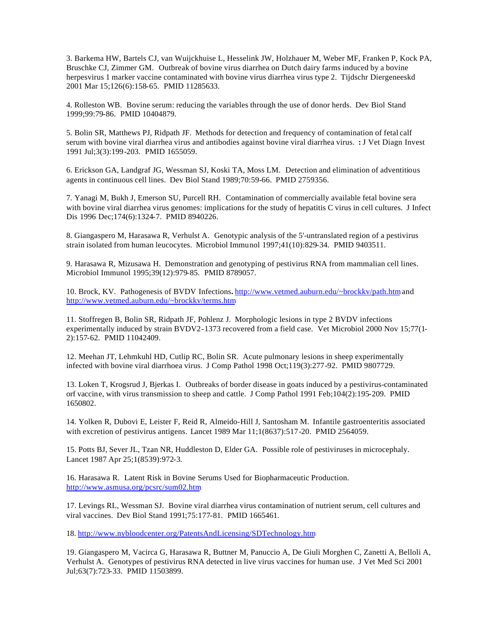3. Barkema HW, Bartels CJ, van Wuijckhuise L, Hesselink JW, Holzhauer M, Weber MF, Franken P, Kock PA, Bruschke CJ, Zimmer GM. Outbreak of bovine virus diarrhea on Dutch dairy farms induced by a bovine herpesvirus 1 marker vaccine contaminated with bovine virus diarrhea virus type 2. Tijdschr Diergeneeskd 2001 Mar 15;126(6):158-65. PMID 11285633.

4. Rolleston WB. Bovine serum: reducing the variables through the use of donor herds. Dev Biol Stand 1999;99:79-86. PMID 10404879.

5. Bolin SR, Matthews PJ, Ridpath JF. Methods for detection and frequency of contamination of fetal calf serum with bovine viral diarrhea virus and antibodies against bovine viral diarrhea virus. **:** J Vet Diagn Invest 1991 Jul;3(3):199-203. PMID 1655059.

6. Erickson GA, Landgraf JG, Wessman SJ, Koski TA, Moss LM. Detection and elimination of adventitious agents in continuous cell lines. Dev Biol Stand 1989;70:59-66. PMID 2759356.

7. Yanagi M, Bukh J, Emerson SU, Purcell RH. Contamination of commercially available fetal bovine sera with bovine viral diarrhea virus genomes: implications for the study of hepatitis C virus in cell cultures. J Infect Dis 1996 Dec;174(6):1324-7. PMID 8940226.

8. Giangaspero M, Harasawa R, Verhulst A. Genotypic analysis of the 5'-untranslated region of a pestivirus strain isolated from human leucocytes. Microbiol Immunol 1997;41(10):829-34. PMID 9403511.

9. Harasawa R, Mizusawa H. Demonstration and genotyping of pestivirus RNA from mammalian cell lines. Microbiol Immunol 1995;39(12):979-85. PMID 8789057.

10. Brock, KV. Pathogenesis of BVDV Infections**.** http://www.vetmed.auburn.edu/~brockkv/path.htm and http://www.vetmed.auburn.edu/~brockkv/terms.htm

11. Stoffregen B, Bolin SR, Ridpath JF, Pohlenz J. Morphologic lesions in type 2 BVDV infections experimentally induced by strain BVDV2-1373 recovered from a field case. Vet Microbiol 2000 Nov 15;77(1- 2):157-62. PMID 11042409.

12. Meehan JT, Lehmkuhl HD, Cutlip RC, Bolin SR. Acute pulmonary lesions in sheep experimentally infected with bovine viral diarrhoea virus. J Comp Pathol 1998 Oct;119(3):277-92. PMID 9807729.

13. Loken T, Krogsrud J, Bjerkas I. Outbreaks of border disease in goats induced by a pestivirus-contaminated orf vaccine, with virus transmission to sheep and cattle. J Comp Pathol 1991 Feb;104(2):195-209. PMID 1650802.

14. Yolken R, Dubovi E, Leister F, Reid R, Almeido-Hill J, Santosham M. Infantile gastroenteritis associated with excretion of pestivirus antigens. Lancet 1989 Mar 11;1(8637):517-20. PMID 2564059.

15. Potts BJ, Sever JL, Tzan NR, Huddleston D, Elder GA. Possible role of pestiviruses in microcephaly. Lancet 1987 Apr 25;1(8539):972-3.

16. Harasawa R. Latent Risk in Bovine Serums Used for Biopharmaceutic Production. http://www.asmusa.org/pcsrc/sum02.htm

17. Levings RL, Wessman SJ. Bovine viral diarrhea virus contamination of nutrient serum, cell cultures and viral vaccines. Dev Biol Stand 1991;75:177-81. PMID 1665461.

18. http://www.nybloodcenter.org/PatentsAndLicensing/SDTechnology.htm

19. Giangaspero M, Vacirca G, Harasawa R, Buttner M, Panuccio A, De Giuli Morghen C, Zanetti A, Belloli A, Verhulst A. Genotypes of pestivirus RNA detected in live virus vaccines for human use. J Vet Med Sci 2001 Jul;63(7):723-33. PMID 11503899.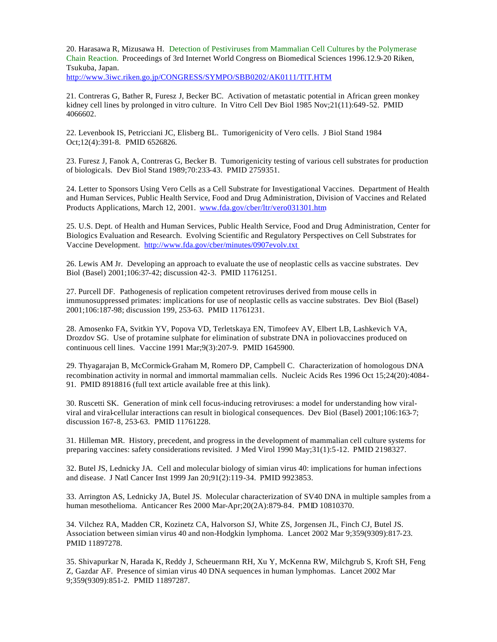20. Harasawa R, Mizusawa H. Detection of Pestiviruses from Mammalian Cell Cultures by the Polymerase Chain Reaction.Proceedings of 3rd Internet World Congress on Biomedical Sciences 1996.12.9-20 Riken, Tsukuba, Japan. http://www.3iwc.riken.go.jp/CONGRESS/SYMPO/SBB0202/AK0111/TIT.HTM

21. Contreras G, Bather R, Furesz J, Becker BC. Activation of metastatic potential in African green monkey kidney cell lines by prolonged in vitro culture. In Vitro Cell Dev Biol 1985 Nov;21(11):649-52. PMID 4066602.

22. Levenbook IS, Petricciani JC, Elisberg BL. Tumorigenicity of Vero cells. J Biol Stand 1984 Oct;12(4):391-8. PMID 6526826.

23. Furesz J, Fanok A, Contreras G, Becker B. Tumorigenicity testing of various cell substrates for production of biologicals. Dev Biol Stand 1989;70:233-43. PMID 2759351.

24. Letter to Sponsors Using Vero Cells as a Cell Substrate for Investigational Vaccines. Department of Health and Human Services, Public Health Service, Food and Drug Administration, Division of Vaccines and Related Products Applications, March 12, 2001. www.fda.gov/cber/ltr/vero031301.htm

25. U.S. Dept. of Health and Human Services, Public Health Service, Food and Drug Administration, Center for Biologics Evaluation and Research. Evolving Scientific and Regulatory Perspectives on Cell Substrates for Vaccine Development. http://www.fda.gov/cber/minutes/0907evolv.txt

26. Lewis AM Jr. Developing an approach to evaluate the use of neoplastic cells as vaccine substrates. Dev Biol (Basel) 2001;106:37-42; discussion 42-3. PMID 11761251.

27. Purcell DF. Pathogenesis of replication competent retroviruses derived from mouse cells in immunosuppressed primates: implications for use of neoplastic cells as vaccine substrates. Dev Biol (Basel) 2001;106:187-98; discussion 199, 253-63. PMID 11761231.

28. Amosenko FA, Svitkin YV, Popova VD, Terletskaya EN, Timofeev AV, Elbert LB, Lashkevich VA, Drozdov SG. Use of protamine sulphate for elimination of substrate DNA in poliovaccines produced on continuous cell lines. Vaccine 1991 Mar;9(3):207-9. PMID 1645900.

29. Thyagarajan B, McCormick-Graham M, Romero DP, Campbell C. Characterization of homologous DNA recombination activity in normal and immortal mammalian cells. Nucleic Acids Res 1996 Oct 15;24(20):4084- 91. PMID 8918816 (full text article available free at this link).

30. Ruscetti SK. Generation of mink cell focus-inducing retroviruses: a model for understanding how viralviral and viral-cellular interactions can result in biological consequences. Dev Biol (Basel) 2001;106:163-7; discussion 167-8, 253-63. PMID 11761228.

31. Hilleman MR. History, precedent, and progress in the development of mammalian cell culture systems for preparing vaccines: safety considerations revisited. J Med Virol 1990 May;31(1):5-12. PMID 2198327.

32. Butel JS, Lednicky JA. Cell and molecular biology of simian virus 40: implications for human infections and disease. J Natl Cancer Inst 1999 Jan 20;91(2):119-34. PMID 9923853.

33. Arrington AS, Lednicky JA, Butel JS. Molecular characterization of SV40 DNA in multiple samples from a human mesothelioma. Anticancer Res 2000 Mar-Apr;20(2A):879-84. PMID 10810370.

34. Vilchez RA, Madden CR, Kozinetz CA, Halvorson SJ, White ZS, Jorgensen JL, Finch CJ, Butel JS. Association between simian virus 40 and non-Hodgkin lymphoma. Lancet 2002 Mar 9;359(9309):817-23. PMID 11897278.

35. Shivapurkar N, Harada K, Reddy J, Scheuermann RH, Xu Y, McKenna RW, Milchgrub S, Kroft SH, Feng Z, Gazdar AF. Presence of simian virus 40 DNA sequences in human lymphomas. Lancet 2002 Mar 9;359(9309):851-2. PMID 11897287.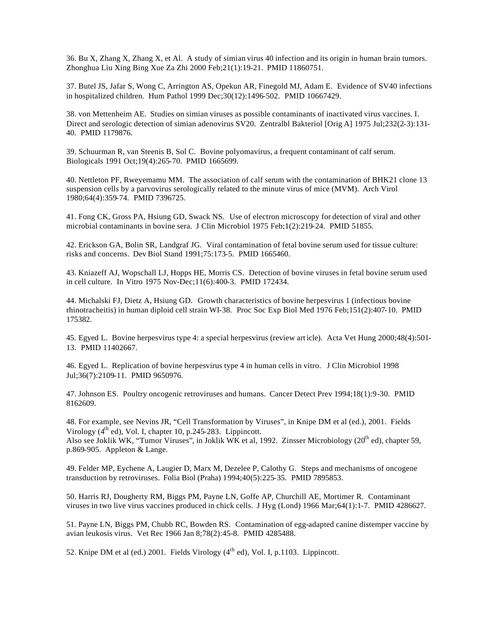36. Bu X, Zhang X, Zhang X, et Al. A study of simian virus 40 infection and its origin in human brain tumors. Zhonghua Liu Xing Bing Xue Za Zhi 2000 Feb;21(1):19-21. PMID 11860751.

37. Butel JS, Jafar S, Wong C, Arrington AS, Opekun AR, Finegold MJ, Adam E. Evidence of SV40 infections in hospitalized children. Hum Pathol 1999 Dec;30(12):1496-502. PMID 10667429.

38. von Mettenheim AE. Studies on simian viruses as possible contaminants of inactivated virus vaccines. I. Direct and serologic detection of simian adenovirus SV20. Zentralbl Bakteriol [Orig A] 1975 Jul;232(2-3):131- 40. PMID 1179876.

39. Schuurman R, van Steenis B, Sol C. Bovine polyomavirus, a frequent contaminant of calf serum. Biologicals 1991 Oct;19(4):265-70. PMID 1665699.

40. Nettleton PF, Rweyemamu MM. The association of calf serum with the contamination of BHK21 clone 13 suspension cells by a parvovirus serologically related to the minute virus of mice (MVM). Arch Virol 1980;64(4):359-74. PMID 7396725.

41. Fong CK, Gross PA, Hsiung GD, Swack NS. Use of electron microscopy for detection of viral and other microbial contaminants in bovine sera. J Clin Microbiol 1975 Feb;1(2):219-24. PMID 51855.

42. Erickson GA, Bolin SR, Landgraf JG. Viral contamination of fetal bovine serum used for tissue culture: risks and concerns. Dev Biol Stand 1991;75:173-5. PMID 1665460.

43. Kniazeff AJ, Wopschall LJ, Hopps HE, Morris CS. Detection of bovine viruses in fetal bovine serum used in cell culture. In Vitro 1975 Nov-Dec;11(6):400-3. PMID 172434.

44. Michalski FJ, Dietz A, Hsiung GD. Growth characteristics of bovine herpesvirus 1 (infectious bovine rhinotracheitis) in human diploid cell strain WI-38. Proc Soc Exp Biol Med 1976 Feb;151(2):407-10. PMID 175382.

45. Egyed L. Bovine herpesvirus type 4: a special herpesvirus (review art icle). Acta Vet Hung 2000;48(4):501- 13. PMID 11402667.

46. Egyed L. Replication of bovine herpesvirus type 4 in human cells in vitro.J Clin Microbiol 1998 Jul;36(7):2109-11. PMID 9650976.

47. Johnson ES. Poultry oncogenic retroviruses and humans. Cancer Detect Prev 1994;18(1):9-30. PMID 8162609.

48. For example, see Nevins JR, "Cell Transformation by Viruses", in Knipe DM et al (ed.), 2001. Fields Virology  $(4^{th}$  ed), Vol. I, chapter 10, p.245-283. Lippincott. Also see Joklik WK, "Tumor Viruses", in Joklik WK et al, 1992. Zinsser Microbiology ( $20<sup>th</sup>$  ed), chapter 59, p.869-905. Appleton & Lange.

49. Felder MP, Eychene A, Laugier D, Marx M, Dezelee P, Calothy G. Steps and mechanisms of oncogene transduction by retroviruses. Folia Biol (Praha) 1994;40(5):225-35. PMID 7895853.

50. Harris RJ, Dougherty RM, Biggs PM, Payne LN, Goffe AP, Churchill AE, Mortimer R. Contaminant viruses in two live virus vaccines produced in chick cells. J Hyg (Lond) 1966 Mar;64(1):1-7. PMID 4286627.

51. Payne LN, Biggs PM, Chubb RC, Bowden RS. Contamination of egg-adapted canine distemper vaccine by avian leukosis virus. Vet Rec 1966 Jan 8;78(2):45-8. PMID 4285488.

52. Knipe DM et al (ed.) 2001. Fields Virology  $(4<sup>th</sup>$  ed), Vol. I, p.1103. Lippincott.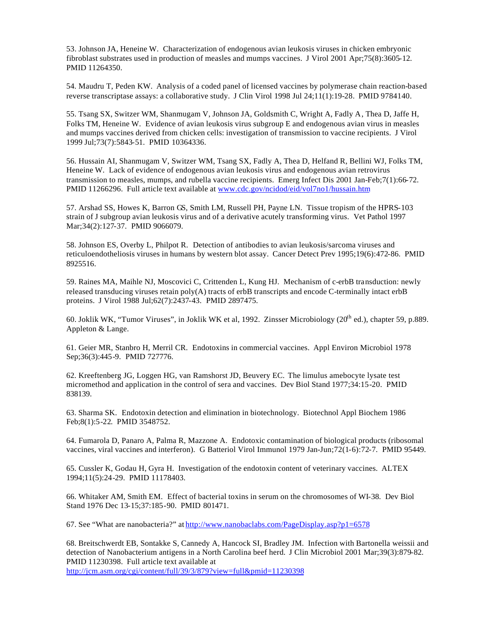53. Johnson JA, Heneine W. Characterization of endogenous avian leukosis viruses in chicken embryonic fibroblast substrates used in production of measles and mumps vaccines. J Virol 2001 Apr;75(8):3605-12. PMID 11264350.

54. Maudru T, Peden KW. Analysis of a coded panel of licensed vaccines by polymerase chain reaction-based reverse transcriptase assays: a collaborative study. J Clin Virol 1998 Jul 24;11(1):19-28. PMID 9784140.

55. Tsang SX, Switzer WM, Shanmugam V, Johnson JA, Goldsmith C, Wright A, Fadly A, Thea D, Jaffe H, Folks TM, Heneine W. Evidence of avian leukosis virus subgroup E and endogenous avian virus in measles and mumps vaccines derived from chicken cells: investigation of transmission to vaccine recipients. J Virol 1999 Jul;73(7):5843-51. PMID 10364336.

56. Hussain AI, Shanmugam V, Switzer WM, Tsang SX, Fadly A, Thea D, Helfand R, Bellini WJ, Folks TM, Heneine W. Lack of evidence of endogenous avian leukosis virus and endogenous avian retrovirus transmission to measles, mumps, and rubella vaccine recipients. Emerg Infect Dis 2001 Jan-Feb;7(1):66-72. PMID 11266296. Full article text available at www.cdc.gov/ncidod/eid/vol7no1/hussain.htm

57. Arshad SS, Howes K, Barron GS, Smith LM, Russell PH, Payne LN. Tissue tropism of the HPRS-103 strain of J subgroup avian leukosis virus and of a derivative acutely transforming virus. Vet Pathol 1997 Mar;34(2):127-37. PMID 9066079.

58. Johnson ES, Overby L, Philpot R. Detection of antibodies to avian leukosis/sarcoma viruses and reticuloendotheliosis viruses in humans by western blot assay. Cancer Detect Prev 1995;19(6):472-86. PMID 8925516.

59. Raines MA, Maihle NJ, Moscovici C, Crittenden L, Kung HJ. Mechanism of c-erbB transduction: newly released transducing viruses retain poly(A) tracts of erbB transcripts and encode C-terminally intact erbB proteins. J Virol 1988 Jul;62(7):2437-43. PMID 2897475.

60. Joklik WK, "Tumor Viruses", in Joklik WK et al, 1992. Zinsser Microbiology ( $20<sup>th</sup>$  ed.), chapter 59, p.889. Appleton & Lange.

61. Geier MR, Stanbro H, Merril CR. Endotoxins in commercial vaccines. Appl Environ Microbiol 1978 Sep;36(3):445-9. PMID 727776.

62. Kreeftenberg JG, Loggen HG, van Ramshorst JD, Beuvery EC. The limulus amebocyte lysate test micromethod and application in the control of sera and vaccines. Dev Biol Stand 1977;34:15-20. PMID 838139.

63. Sharma SK. Endotoxin detection and elimination in biotechnology. Biotechnol Appl Biochem 1986 Feb;8(1):5-22. PMID 3548752.

64. Fumarola D, Panaro A, Palma R, Mazzone A. Endotoxic contamination of biological products (ribosomal vaccines, viral vaccines and interferon). G Batteriol Virol Immunol 1979 Jan-Jun;72(1-6):72-7. PMID 95449.

65. Cussler K, Godau H, Gyra H. Investigation of the endotoxin content of veterinary vaccines. ALTEX 1994;11(5):24-29. PMID 11178403.

66. Whitaker AM, Smith EM. Effect of bacterial toxins in serum on the chromosomes of WI-38. Dev Biol Stand 1976 Dec 13-15;37:185-90. PMID 801471.

67. See "What are nanobacteria?" at http://www.nanobaclabs.com/PageDisplay.asp?p1=6578

68. Breitschwerdt EB, Sontakke S, Cannedy A, Hancock SI, Bradley JM. Infection with Bartonella weissii and detection of Nanobacterium antigens in a North Carolina beef herd. J Clin Microbiol 2001 Mar;39(3):879-82. PMID 11230398. Full article text available at

http://jcm.asm.org/cgi/content/full/39/3/879?view=full&pmid=11230398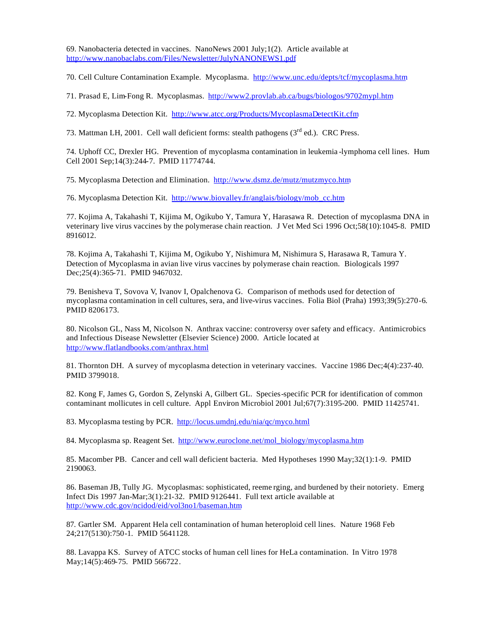69. Nanobacteria detected in vaccines. NanoNews 2001 July;1(2). Article available at http://www.nanobaclabs.com/Files/Newsletter/JulyNANONEWS1.pdf

70. Cell Culture Contamination Example. Mycoplasma. http://www.unc.edu/depts/tcf/mycoplasma.htm

71. Prasad E, Lim-Fong R. Mycoplasmas. http://www2.provlab.ab.ca/bugs/biologos/9702mypl.htm

72. Mycoplasma Detection Kit. http://www.atcc.org/Products/MycoplasmaDetectKit.cfm

73. Mattman LH, 2001. Cell wall deficient forms: stealth pathogens  $(3<sup>rd</sup>$  ed.). CRC Press.

74. Uphoff CC, Drexler HG. Prevention of mycoplasma contamination in leukemia -lymphoma cell lines. Hum Cell 2001 Sep;14(3):244-7. PMID 11774744.

75. Mycoplasma Detection and Elimination. http://www.dsmz.de/mutz/mutzmyco.htm

76. Mycoplasma Detection Kit. http://www.biovalley.fr/anglais/biology/mob\_cc.htm

77. Kojima A, Takahashi T, Kijima M, Ogikubo Y, Tamura Y, Harasawa R. Detection of mycoplasma DNA in veterinary live virus vaccines by the polymerase chain reaction. J Vet Med Sci 1996 Oct;58(10):1045-8. PMID 8916012.

78. Kojima A, Takahashi T, Kijima M, Ogikubo Y, Nishimura M, Nishimura S, Harasawa R, Tamura Y. Detection of Mycoplasma in avian live virus vaccines by polymerase chain reaction. Biologicals 1997 Dec;25(4):365-71. PMID 9467032.

79. Benisheva T, Sovova V, Ivanov I, Opalchenova G. Comparison of methods used for detection of mycoplasma contamination in cell cultures, sera, and live-virus vaccines. Folia Biol (Praha) 1993;39(5):270-6. PMID 8206173.

80. Nicolson GL, Nass M, Nicolson N. Anthrax vaccine: controversy over safety and efficacy. Antimicrobics and Infectious Disease Newsletter (Elsevier Science) 2000. Article located at http://www.flatlandbooks.com/anthrax.html

81. Thornton DH. A survey of mycoplasma detection in veterinary vaccines. Vaccine 1986 Dec;4(4):237-40. PMID 3799018.

82. Kong F, James G, Gordon S, Zelynski A, Gilbert GL. Species-specific PCR for identification of common contaminant mollicutes in cell culture. Appl Environ Microbiol 2001 Jul;67(7):3195-200. PMID 11425741.

83. Mycoplasma testing by PCR. http://locus.umdnj.edu/nia/qc/myco.html

84. Mycoplasma sp. Reagent Set. http://www.euroclone.net/mol\_biology/mycoplasma.htm

85. Macomber PB. Cancer and cell wall deficient bacteria. Med Hypotheses 1990 May;32(1):1-9. PMID 2190063.

86. Baseman JB, Tully JG. Mycoplasmas: sophisticated, reeme rging, and burdened by their notoriety. Emerg Infect Dis 1997 Jan-Mar;3(1):21-32. PMID 9126441. Full text article available at http://www.cdc.gov/ncidod/eid/vol3no1/baseman.htm

87. Gartler SM. Apparent Hela cell contamination of human heteroploid cell lines. Nature 1968 Feb 24;217(5130):750-1. PMID 5641128.

88. Lavappa KS. Survey of ATCC stocks of human cell lines for HeLa contamination. In Vitro 1978 May;14(5):469-75. PMID 566722.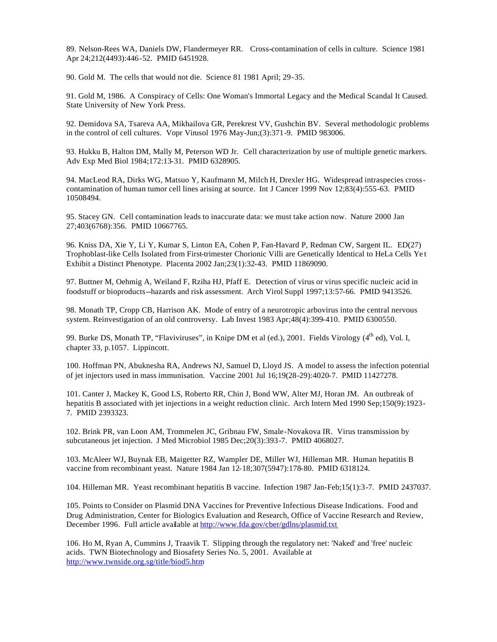89. Nelson-Rees WA, Daniels DW, Flandermeyer RR. Cross-contamination of cells in culture. Science 1981 Apr 24;212(4493):446-52. PMID 6451928.

90. Gold M. The cells that would not die. Science 81 1981 April; 29-35.

91. Gold M, 1986. A Conspiracy of Cells: One Woman's Immortal Legacy and the Medical Scandal It Caused. State University of New York Press.

92. Demidova SA, Tsareva AA, Mikhailova GR, Perekrest VV, Gushchin BV. Several methodologic problems in the control of cell cultures. Vopr Virusol 1976 May-Jun;(3):371-9. PMID 983006.

93. Hukku B, Halton DM, Mally M, Peterson WD Jr. Cell characterization by use of multiple genetic markers. Adv Exp Med Biol 1984;172:13-31. PMID 6328905.

94. MacLeod RA, Dirks WG, Matsuo Y, Kaufmann M, Milch H, Drexler HG. Widespread intraspecies crosscontamination of human tumor cell lines arising at source. Int J Cancer 1999 Nov 12;83(4):555-63. PMID 10508494.

95. Stacey GN. Cell contamination leads to inaccurate data: we must take action now. Nature 2000 Jan 27;403(6768):356. PMID 10667765.

96. Kniss DA, Xie Y, Li Y, Kumar S, Linton EA, Cohen P, Fan-Havard P, Redman CW, Sargent IL. ED(27) Trophoblast-like Cells Isolated from First-trimester Chorionic Villi are Genetically Identical to HeLa Cells Ye t Exhibit a Distinct Phenotype. Placenta 2002 Jan;23(1):32-43. PMID 11869090.

97. Buttner M, Oehmig A, Weiland F, Rziha HJ, Pfaff E. Detection of virus or virus specific nucleic acid in foodstuff or bioproducts--hazards and risk assessment. Arch Virol Suppl 1997;13:57-66. PMID 9413526.

98. Monath TP, Cropp CB, Harrison AK. Mode of entry of a neurotropic arbovirus into the central nervous system. Reinvestigation of an old controversy. Lab Invest 1983 Apr;48(4):399-410. PMID 6300550.

99. Burke DS, Monath TP, "Flaviviruses", in Knipe DM et al (ed.), 2001. Fields Virology  $(4^{th}$  ed), Vol. I, chapter 33, p.1057. Lippincott.

100. Hoffman PN, Abuknesha RA, Andrews NJ, Samuel D, Lloyd JS. A model to assess the infection potential of jet injectors used in mass immunisation. Vaccine 2001 Jul 16;19(28-29):4020-7. PMID 11427278.

101. Canter J, Mackey K, Good LS, Roberto RR, Chin J, Bond WW, Alter MJ, Horan JM. An outbreak of hepatitis B associated with jet injections in a weight reduction clinic. Arch Intern Med 1990 Sep;150(9):1923- 7. PMID 2393323.

102. Brink PR, van Loon AM, Trommelen JC, Gribnau FW, Smale-Novakova IR. Virus transmission by subcutaneous jet injection. J Med Microbiol 1985 Dec;20(3):393-7. PMID 4068027.

103. McAleer WJ, Buynak EB, Maigetter RZ, Wampler DE, Miller WJ, Hilleman MR. Human hepatitis B vaccine from recombinant yeast. Nature 1984 Jan 12-18;307(5947):178-80. PMID 6318124.

104. Hilleman MR. Yeast recombinant hepatitis B vaccine. Infection 1987 Jan-Feb;15(1):3-7. PMID 2437037.

105. Points to Consider on Plasmid DNA Vaccines for Preventive Infectious Disease Indications. Food and Drug Administration, Center for Biologics Evaluation and Research, Office of Vaccine Research and Review, December 1996. Full article available at http://www.fda.gov/cber/gdlns/plasmid.txt

106. Ho M, Ryan A, Cummins J, Traavik T. Slipping through the regulatory net: 'Naked' and 'free' nucleic acids. TWN Biotechnology and Biosafety Series No. 5, 2001. Available at http://www.twnside.org.sg/title/biod5.htm